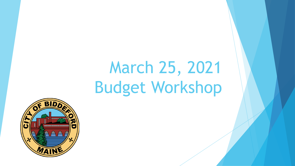# March 25, 2021 Budget Workshop

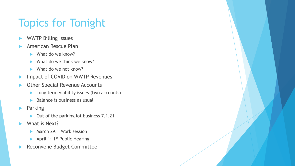# Topics for Tonight

- WWTP Billing Issues
- American Rescue Plan
	- $\blacktriangleright$  What do we know?
	- What do we think we know?
	- What do we not know?
- **IMPACT OF COVID on WWTP Revenues**
- Other Special Revenue Accounts
	- $\blacktriangleright$  Long term viability issues (two accounts)
	- Balance is business as usual
- **Parking** 
	- ▶ Out of the parking lot business 7.1.21
- What is Next?
	- March 29: Work session
	- $\blacktriangleright$  April 1: 1<sup>st</sup> Public Hearing
- Reconvene Budget Committee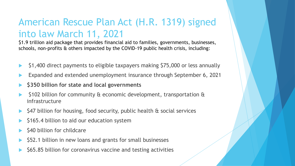#### American Rescue Plan Act (H.R. 1319) signed into law March 11, 2021

\$1.9 trillion aid package that provides financial aid to families, governments, businesses, schools, non-profits & others impacted by the COVID-19 public health crisis, including:

- \$1,400 direct payments to eligible taxpayers making \$75,000 or less annually
- Expanded and extended unemployment insurance through September 6, 2021
- **\$350 billion for state and local governments**
- \$102 billion for community & economic development, transportation & infrastructure
- \$47 billion for housing, food security, public health & social services
- \$165.4 billion to aid our education system
- \$40 billion for childcare
- \$52.1 billion in new loans and grants for small businesses
- \$65.85 billion for coronavirus vaccine and testing activities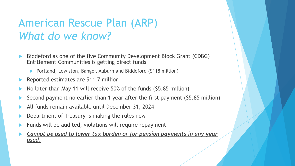# American Rescue Plan (ARP) *What do we know?*

- Biddeford as one of the five Community Development Block Grant (CDBG) Entitlement Communities is getting direct funds
	- ▶ Portland, Lewiston, Bangor, Auburn and Biddeford (\$118 million)
- Reported estimates are \$11.7 million
- No later than May 11 will receive 50% of the funds (\$5.85 million)
- Second payment no earlier than 1 year after the first payment (\$5.85 million)
- All funds remain available until December 31, 2024
- Department of Treasury is making the rules now
- Funds will be audited; violations will require repayment
- *Cannot be used to lower tax burden or for pension payments in any year used.*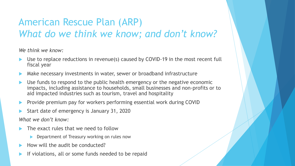#### American Rescue Plan (ARP) *What do we think we know; and don't know?*

*We think we know:*

- Use to replace reductions in revenue(s) caused by COVID-19 in the most recent full fiscal year
- Make necessary investments in water, sewer or broadband infrastructure
- Use funds to respond to the public health emergency or the negative economic impacts, including assistance to households, small businesses and non-profits or to aid impacted industries such as tourism, travel and hospitality
- Provide premium pay for workers performing essential work during COVID
- Start date of emergency is January 31, 2020

*What we don't know:*

- The exact rules that we need to follow
	- Department of Treasury working on rules now
- How will the audit be conducted?
- If violations, all or some funds needed to be repaid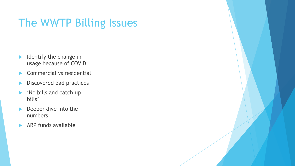# The WWTP Billing Issues

- $\blacktriangleright$  Identify the change in usage because of COVID
- Commercial vs residential
- Discovered bad practices
- lacktriangleright Mobills and catch up bills'
- Deeper dive into the numbers
- $\blacktriangleright$  ARP funds available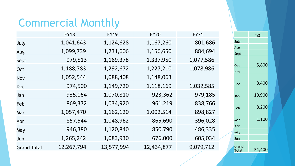# Commercial Monthly

|                    | <b>FY18</b> | <b>FY19</b> | <b>FY20</b> | <b>FY21</b> |
|--------------------|-------------|-------------|-------------|-------------|
| July               | 1,041,643   | 1,124,628   | 1,167,260   | 801,686     |
| Aug                | 1,099,739   | 1,231,606   | 1,156,650   | 884,694     |
| Sept               | 979,513     | 1,169,378   | 1,337,950   | 1,077,586   |
| Oct                | 1,188,783   | 1,292,672   | 1,227,210   | 1,078,986   |
| Nov                | 1,052,544   | 1,088,408   | 1,148,063   |             |
| <b>Dec</b>         | 974,500     | 1,149,720   | 1,118,169   | 1,032,585   |
| Jan                | 935,064     | 1,070,810   | 923,362     | 979,185     |
| Feb                | 869,372     | 1,034,920   | 961,219     | 838,766     |
| Mar                | 1,057,470   | 1,162,120   | 1,002,514   | 898,827     |
| Apr                | 857,544     | 1,048,962   | 865,690     | 396,028     |
| May                | 946,380     | 1,120,840   | 850,790     | 486,335     |
| Jun                | 1,265,242   | 1,083,930   | 676,000     | 605,034     |
| <b>Grand Total</b> | 12,267,794  | 13,577,994  | 12,434,877  | 9,079,712   |

|                | <b>FY21</b> |
|----------------|-------------|
| July           |             |
| Aug            |             |
| Sept           |             |
| <b>Oct</b>     | 5,800       |
| Nov            |             |
| Dec            | 8,400       |
| Jan            | 10,900      |
| Feb            | 8,200       |
| Mar            | 1,100       |
| Apr            |             |
| May            |             |
| Jun            |             |
| Grand<br>Total | 34,400      |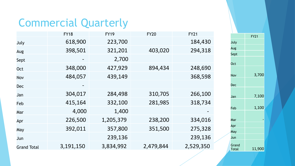# Commercial Quarterly

|                    | <b>FY18</b> | <b>FY19</b> | <b>FY20</b> | <b>FY21</b> |
|--------------------|-------------|-------------|-------------|-------------|
| July               | 618,900     | 223,700     |             | 184,430     |
| Aug                | 398,501     | 321,201     | 403,020     | 294,318     |
| Sept               |             | 2,700       |             |             |
| Oct                | 348,000     | 427,929     | 894,434     | 248,690     |
| <b>Nov</b>         | 484,057     | 439,149     |             | 368,598     |
| <b>Dec</b>         |             |             |             |             |
| Jan                | 304,017     | 284,498     | 310,705     | 266,100     |
| Feb                | 415,164     | 332,100     | 281,985     | 318,734     |
| Mar                | 4,000       | 1,400       |             |             |
| Apr                | 226,500     | 1,205,379   | 238,200     | 334,016     |
| May                | 392,011     | 357,800     | 351,500     | 275,328     |
| Jun                |             | 239,136     |             | 239,136     |
| <b>Grand Total</b> | 3,191,150   | 3,834,992   | 2,479,844   | 2,529,350   |

|                | <b>FY21</b> |
|----------------|-------------|
| July           |             |
| Aug            |             |
| Sept           |             |
| <b>Oct</b>     |             |
| Nov            | 3,700       |
| Dec            |             |
| Jan            | 7,100       |
| Feb            | 1,100       |
| Mar            |             |
| Apr            |             |
| May            |             |
| Jun            |             |
| Grand<br>Total | 11,900      |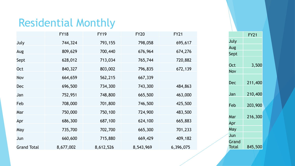# Residential Monthly

|                    | <b>FY18</b> | <b>FY19</b> | <b>FY20</b> | <b>FY21</b> |
|--------------------|-------------|-------------|-------------|-------------|
| July               | 744,324     | 793,155     | 798,058     | 695,617     |
| Aug                | 809,629     | 700,440     | 676,964     | 674,276     |
| Sept               | 628,012     | 713,034     | 765,744     | 720,882     |
| Oct                | 840,327     | 803,002     | 796,835     | 672,139     |
| Nov                | 664,659     | 562,215     | 667,339     |             |
| <b>Dec</b>         | 696,500     | 734,300     | 743,300     | 484,863     |
| Jan                | 752,951     | 748,800     | 665,500     | 463,000     |
| Feb                | 708,000     | 701,800     | 746,500     | 425,500     |
| Mar                | 750,000     | 750,100     | 724,900     | 483,500     |
| Apr                | 686,300     | 687,100     | 624,100     | 665,883     |
| May                | 735,700     | 702,700     | 665,300     | 701,233     |
| Jun                | 660,600     | 715,880     | 669,429     | 409,182     |
| <b>Grand Total</b> | 8,677,002   | 8,612,526   | 8,543,969   | 6,396,075   |

|                | <b>FY21</b> |  |
|----------------|-------------|--|
| July           |             |  |
| Aug            |             |  |
| Sept           |             |  |
| Oct            | 3,500       |  |
| Nov            |             |  |
| Dec            | 211,400     |  |
| Jan            | 210,400     |  |
| Feb            | 203,900     |  |
| Mar            | 216,300     |  |
| Apr            |             |  |
| May            |             |  |
| Jun            |             |  |
| Grand<br>Total | 845,500     |  |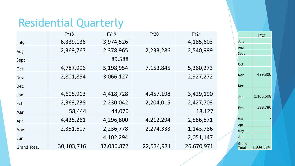### Residential Quarterly

|                    | <b>FY18</b> | <b>FY19</b> | <b>FY20</b> | <b>FY21</b> |
|--------------------|-------------|-------------|-------------|-------------|
| July               | 6,339,136   | 3,974,526   |             | 4,185,603   |
| Aug                | 2,369,767   | 2,378,965   | 2,233,286   | 2,540,999   |
| Sept               |             | 89,588      |             |             |
| Oct                | 4,787,996   | 5,198,954   | 7,153,845   | 5,360,273   |
| Nov                | 2,801,854   | 3,066,127   |             | 2,927,272   |
| <b>Dec</b>         |             |             |             |             |
| Jan                | 4,605,913   | 4,418,728   | 4,457,198   | 3,429,190   |
| Feb                | 2,363,738   | 2,230,042   | 2,204,015   | 2,427,703   |
| Mar                | 58,444      | 44,070      |             | 18,127      |
| Apr                | 4,425,261   | 4,296,800   | 4,212,294   | 2,586,871   |
| May                | 2,351,607   | 2,236,778   | 2,274,333   | 1,143,786   |
| Jun                |             | 4,102,294   |             | 2,051,147   |
| <b>Grand Total</b> | 30,103,716  | 32,036,872  | 22,534,971  | 26,670,971  |

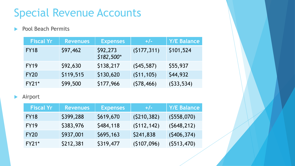# Special Revenue Accounts

#### Pool Beach Permits

| <b>Fiscal Yr</b> | <b>Revenues</b> | <b>Expenses</b>         | $+/-$       | <b>Y/E Balance</b> |
|------------------|-----------------|-------------------------|-------------|--------------------|
| <b>FY18</b>      | \$97,462        | \$92,273<br>$$182,500*$ | (5177, 311) | \$101,524          |
| <b>FY19</b>      | \$92,630        | \$138,217               | (545, 587)  | \$55,937           |
| <b>FY20</b>      | \$119,515       | \$130,620               | (511, 105)  | \$44,932           |
| $FY21*$          | \$99,500        | \$177,966               | (578, 466)  | (533, 534)         |

#### Airport

| <b>Fiscal Yr</b> | <b>Revenues</b> | <b>Expenses</b> | $+/-$       | <b>Y/E Balance</b> |
|------------------|-----------------|-----------------|-------------|--------------------|
| <b>FY18</b>      | \$399,288       | \$619,670       | (5210, 382) | (5558,070)         |
| <b>FY19</b>      | \$383,976       | \$484,118       | (5112, 142) | (5648, 212)        |
| <b>FY20</b>      | \$937,001       | \$695,163       | \$241,838   | (5406, 374)        |
| <b>FY21*</b>     | \$212,381       | \$319,477       | (5107,096)  | (5513, 470)        |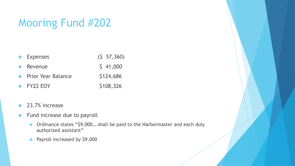# Mooring Fund #202

| $\blacktriangleright$ Expenses      | (5 57, 360) |
|-------------------------------------|-------------|
| $\blacktriangleright$ Revenue       | 541,000     |
| <b>Example 2</b> Prior Year Balance | \$124,686   |
| $\blacktriangleright$ FY22 EOY      | \$108,326   |

- 23.7% increase
- $\blacktriangleright$  Fund increase due to payroll
	- ▶ Ordinance states "\$9,000....shall be paid to the Harbormaster and each duly authorized assistant"
	- Payroll increased by \$9,000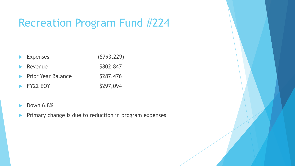### Recreation Program Fund #224

| $\blacktriangleright$ Expenses      | (5793, 229) |
|-------------------------------------|-------------|
| $\blacktriangleright$ Revenue       | \$802,847   |
| <b>Example 2</b> Prior Year Balance | \$287,476   |
| $\blacktriangleright$ FY22 EOY      | \$297,094   |
|                                     |             |

- $\blacktriangleright$  Down 6.8%
- **Primary change is due to reduction in program expenses**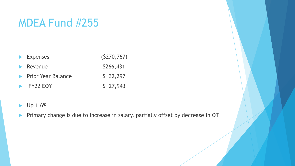# MDEA Fund #255

| $\blacktriangleright$ Expenses      | (5270, 767) |
|-------------------------------------|-------------|
| $\blacktriangleright$ Revenue       | \$266,431   |
| <b>Example 2 Prior Year Balance</b> | $5\,32,297$ |
| $\blacktriangleright$ FY22 EOY      | 527,943     |

- **Up 1.6%**
- Primary change is due to increase in salary, partially offset by decrease in OT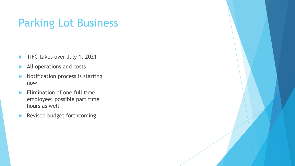# Parking Lot Business

- TIFC takes over July 1, 2021
- All operations and costs
- Notification process is starting now
- $\blacktriangleright$  Elimination of one full time employee; possible part time hours as well
- Revised budget forthcoming